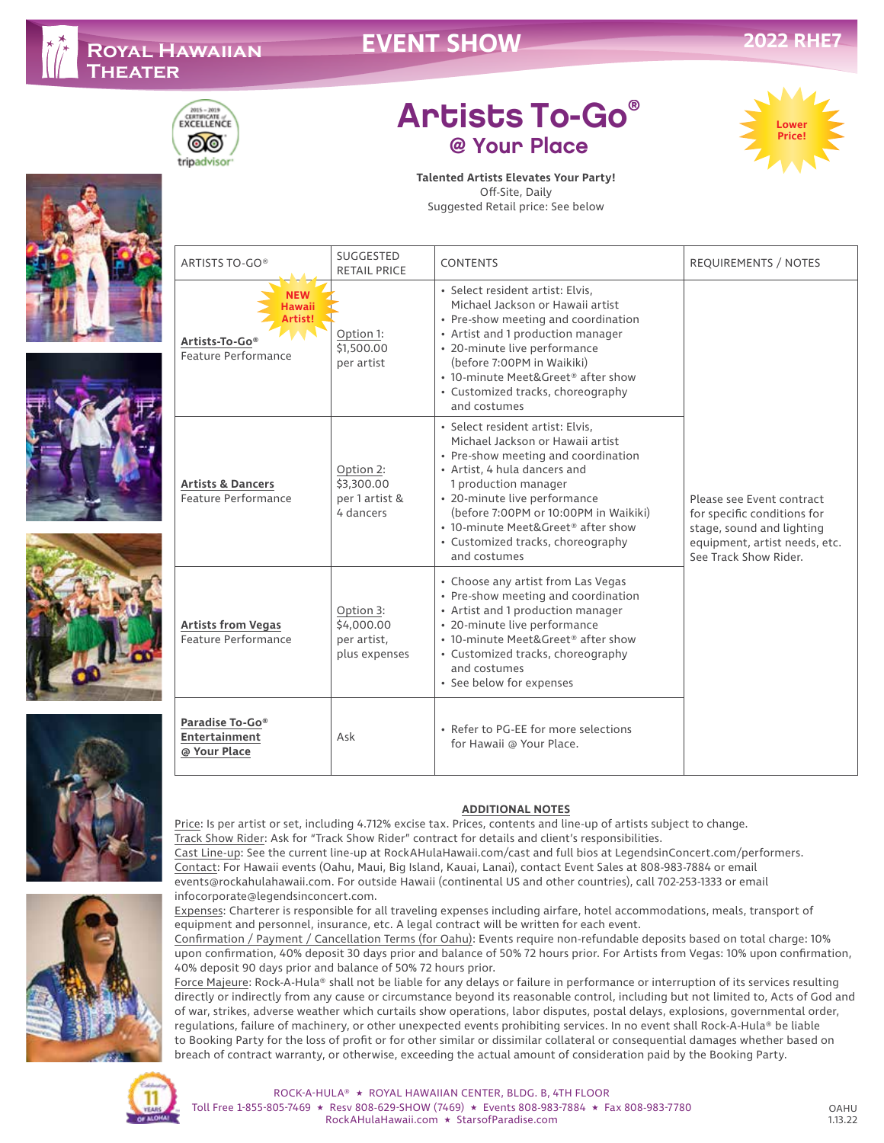# **EVENT SHOW**



# Artists To-Go® @ Your Place















### **Talented Artists Elevates Your Party!** Off-Site, Daily

Suggested Retail price: See below

| ARTISTS TO-GO®                                          | SUGGESTED<br><b>RETAIL PRICE</b>                        | <b>CONTENTS</b>                                                                                                                                                                                                                                                                                                                         | <b>REQUIREMENTS / NOTES</b>                                                                                                                     |
|---------------------------------------------------------|---------------------------------------------------------|-----------------------------------------------------------------------------------------------------------------------------------------------------------------------------------------------------------------------------------------------------------------------------------------------------------------------------------------|-------------------------------------------------------------------------------------------------------------------------------------------------|
| Artists-To-Go®<br>Feature Performance                   | Option 1:<br>\$1,500,00<br>per artist                   | · Select resident artist: Elvis,<br>Michael Jackson or Hawaii artist<br>• Pre-show meeting and coordination<br>• Artist and 1 production manager<br>• 20-minute live performance<br>(before 7:00PM in Waikiki)<br>• 10-minute Meet&Greet® after show<br>• Customized tracks, choreography<br>and costumes                               | Please see Event contract<br>for specific conditions for<br>stage, sound and lighting<br>equipment, artist needs, etc.<br>See Track Show Rider. |
| <b>Artists &amp; Dancers</b><br>Feature Performance     | Option 2:<br>\$3,300.00<br>per 1 artist &<br>4 dancers  | · Select resident artist: Elvis,<br>Michael Jackson or Hawaii artist<br>• Pre-show meeting and coordination<br>• Artist, 4 hula dancers and<br>1 production manager<br>• 20-minute live performance<br>(before 7:00PM or 10:00PM in Waikiki)<br>• 10-minute Meet&Greet® after show<br>• Customized tracks, choreography<br>and costumes |                                                                                                                                                 |
| <b>Artists from Vegas</b><br>Feature Performance        | Option 3:<br>\$4,000.00<br>per artist,<br>plus expenses | • Choose any artist from Las Vegas<br>• Pre-show meeting and coordination<br>• Artist and 1 production manager<br>• 20-minute live performance<br>• 10-minute Meet&Greet® after show<br>• Customized tracks, choreography<br>and costumes<br>• See below for expenses                                                                   |                                                                                                                                                 |
| Paradise To-Go®<br><b>Entertainment</b><br>@ Your Place | Ask                                                     | • Refer to PG-EE for more selections<br>for Hawaii @ Your Place.                                                                                                                                                                                                                                                                        |                                                                                                                                                 |

## **ADDITIONAL NOTES**

Price: Is per artist or set, including 4.712% excise tax. Prices, contents and line-up of artists subject to change. Track Show Rider: Ask for "Track Show Rider" contract for details and client's responsibilities. Cast Line-up: See the current line-up at RockAHulaHawaii.com/cast and full bios at LegendsinConcert.com/performers. Contact: For Hawaii events (Oahu, Maui, Big Island, Kauai, Lanai), contact Event Sales at 808-983-7884 or email events@rockahulahawaii.com. For outside Hawaii (continental US and other countries), call 702-253-1333 or email infocorporate@legendsinconcert.com.

Expenses: Charterer is responsible for all traveling expenses including airfare, hotel accommodations, meals, transport of equipment and personnel, insurance, etc. A legal contract will be written for each event.

Confirmation / Payment / Cancellation Terms (for Oahu): Events require non-refundable deposits based on total charge: 10% upon confirmation, 40% deposit 30 days prior and balance of 50% 72 hours prior. For Artists from Vegas: 10% upon confirmation, 40% deposit 90 days prior and balance of 50% 72 hours prior.

Force Majeure: Rock-A-Hula® shall not be liable for any delays or failure in performance or interruption of its services resulting directly or indirectly from any cause or circumstance beyond its reasonable control, including but not limited to, Acts of God and of war, strikes, adverse weather which curtails show operations, labor disputes, postal delays, explosions, governmental order, regulations, failure of machinery, or other unexpected events prohibiting services. In no event shall Rock-A-Hula® be liable to Booking Party for the loss of profit or for other similar or dissimilar collateral or consequential damages whether based on breach of contract warranty, or otherwise, exceeding the actual amount of consideration paid by the Booking Party.



### ROCK-A-HULA® ★ ROYAL HAWAIIAN CENTER, BLDG. B, 4TH FLOOR Toll Free 1-855-805-7469 ★ Resv 808-629-SHOW (7469) ★ Events 808-983-7884 ★ Fax 808-983-7780 RockAHulaHawaii.com ★ StarsofParadise.com